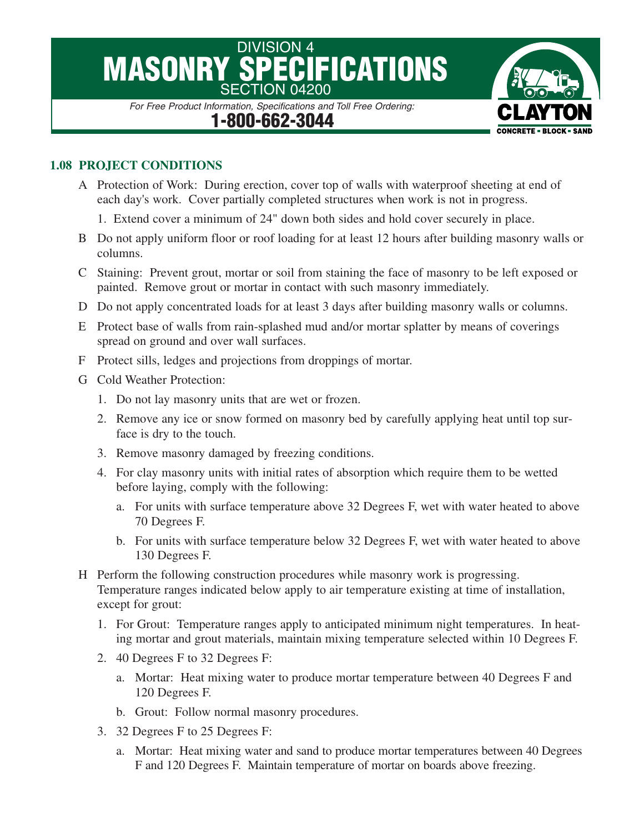## DIVISION 4<br>**SPECIFICATIONS MASONRY SPECI** SECTION 04200

*For Free Product Information, Specifications and Toll Free Ordering:* **1-800-662-3044**

## **1.08 PROJECT CONDITIONS**

- A Protection of Work: During erection, cover top of walls with waterproof sheeting at end of each day's work. Cover partially completed structures when work is not in progress.
	- 1. Extend cover a minimum of 24" down both sides and hold cover securely in place.
- B Do not apply uniform floor or roof loading for at least 12 hours after building masonry walls or columns.
- C Staining: Prevent grout, mortar or soil from staining the face of masonry to be left exposed or painted. Remove grout or mortar in contact with such masonry immediately.
- D Do not apply concentrated loads for at least 3 days after building masonry walls or columns.
- E Protect base of walls from rain-splashed mud and/or mortar splatter by means of coverings spread on ground and over wall surfaces.
- F Protect sills, ledges and projections from droppings of mortar.
- G Cold Weather Protection:
	- 1. Do not lay masonry units that are wet or frozen.
	- 2. Remove any ice or snow formed on masonry bed by carefully applying heat until top surface is dry to the touch.
	- 3. Remove masonry damaged by freezing conditions.
	- 4. For clay masonry units with initial rates of absorption which require them to be wetted before laying, comply with the following:
		- a. For units with surface temperature above 32 Degrees F, wet with water heated to above 70 Degrees F.
		- b. For units with surface temperature below 32 Degrees F, wet with water heated to above 130 Degrees F.
- H Perform the following construction procedures while masonry work is progressing. Temperature ranges indicated below apply to air temperature existing at time of installation, except for grout:
	- 1. For Grout: Temperature ranges apply to anticipated minimum night temperatures. In heating mortar and grout materials, maintain mixing temperature selected within 10 Degrees F.
	- 2. 40 Degrees F to 32 Degrees F:
		- a. Mortar: Heat mixing water to produce mortar temperature between 40 Degrees F and 120 Degrees F.
		- b. Grout: Follow normal masonry procedures.
	- 3. 32 Degrees F to 25 Degrees F:
		- a. Mortar: Heat mixing water and sand to produce mortar temperatures between 40 Degrees F and 120 Degrees F. Maintain temperature of mortar on boards above freezing.